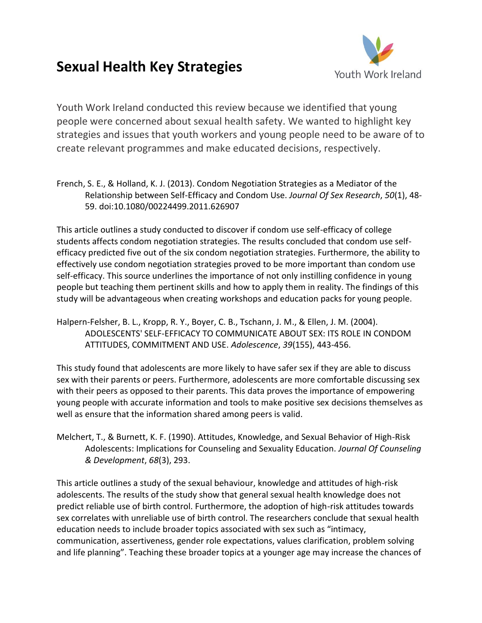## **Sexual Health Key Strategies**



Youth Work Ireland conducted this review because we identified that young people were concerned about sexual health safety. We wanted to highlight key strategies and issues that youth workers and young people need to be aware of to create relevant programmes and make educated decisions, respectively.

French, S. E., & Holland, K. J. (2013). Condom Negotiation Strategies as a Mediator of the Relationship between Self-Efficacy and Condom Use. *Journal Of Sex Research*, *50*(1), 48- 59. doi:10.1080/00224499.2011.626907

This article outlines a study conducted to discover if condom use self-efficacy of college students affects condom negotiation strategies. The results concluded that condom use selfefficacy predicted five out of the six condom negotiation strategies. Furthermore, the ability to effectively use condom negotiation strategies proved to be more important than condom use self-efficacy. This source underlines the importance of not only instilling confidence in young people but teaching them pertinent skills and how to apply them in reality. The findings of this study will be advantageous when creating workshops and education packs for young people.

Halpern-Felsher, B. L., Kropp, R. Y., Boyer, C. B., Tschann, J. M., & Ellen, J. M. (2004). ADOLESCENTS' SELF-EFFICACY TO COMMUNICATE ABOUT SEX: ITS ROLE IN CONDOM ATTITUDES, COMMITMENT AND USE. *Adolescence*, *39*(155), 443-456.

This study found that adolescents are more likely to have safer sex if they are able to discuss sex with their parents or peers. Furthermore, adolescents are more comfortable discussing sex with their peers as opposed to their parents. This data proves the importance of empowering young people with accurate information and tools to make positive sex decisions themselves as well as ensure that the information shared among peers is valid.

Melchert, T., & Burnett, K. F. (1990). Attitudes, Knowledge, and Sexual Behavior of High-Risk Adolescents: Implications for Counseling and Sexuality Education. *Journal Of Counseling & Development*, *68*(3), 293.

This article outlines a study of the sexual behaviour, knowledge and attitudes of high-risk adolescents. The results of the study show that general sexual health knowledge does not predict reliable use of birth control. Furthermore, the adoption of high-risk attitudes towards sex correlates with unreliable use of birth control. The researchers conclude that sexual health education needs to include broader topics associated with sex such as "intimacy, communication, assertiveness, gender role expectations, values clarification, problem solving and life planning". Teaching these broader topics at a younger age may increase the chances of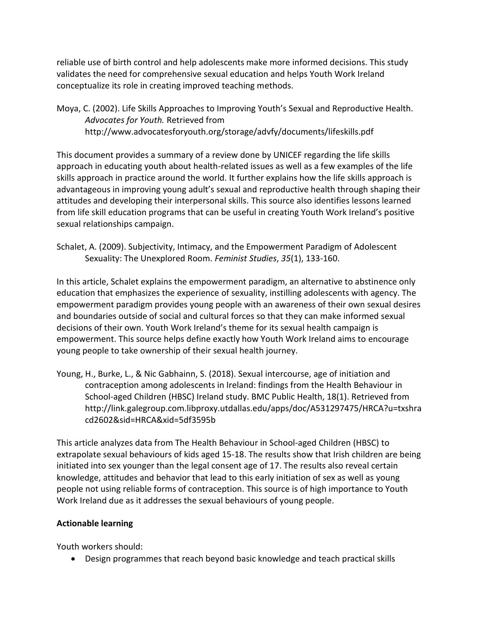reliable use of birth control and help adolescents make more informed decisions. This study validates the need for comprehensive sexual education and helps Youth Work Ireland conceptualize its role in creating improved teaching methods.

Moya, C. (2002). Life Skills Approaches to Improving Youth's Sexual and Reproductive Health. *Advocates for Youth.* Retrieved from http://www.advocatesforyouth.org/storage/advfy/documents/lifeskills.pdf

This document provides a summary of a review done by UNICEF regarding the life skills approach in educating youth about health-related issues as well as a few examples of the life skills approach in practice around the world. It further explains how the life skills approach is advantageous in improving young adult's sexual and reproductive health through shaping their attitudes and developing their interpersonal skills. This source also identifies lessons learned from life skill education programs that can be useful in creating Youth Work Ireland's positive sexual relationships campaign.

Schalet, A. (2009). Subjectivity, Intimacy, and the Empowerment Paradigm of Adolescent Sexuality: The Unexplored Room. *Feminist Studies*, *35*(1), 133-160.

In this article, Schalet explains the empowerment paradigm, an alternative to abstinence only education that emphasizes the experience of sexuality, instilling adolescents with agency. The empowerment paradigm provides young people with an awareness of their own sexual desires and boundaries outside of social and cultural forces so that they can make informed sexual decisions of their own. Youth Work Ireland's theme for its sexual health campaign is empowerment. This source helps define exactly how Youth Work Ireland aims to encourage young people to take ownership of their sexual health journey.

Young, H., Burke, L., & Nic Gabhainn, S. (2018). Sexual intercourse, age of initiation and contraception among adolescents in Ireland: findings from the Health Behaviour in School-aged Children (HBSC) Ireland study. BMC Public Health, 18(1). Retrieved from http://link.galegroup.com.libproxy.utdallas.edu/apps/doc/A531297475/HRCA?u=txshra cd2602&sid=HRCA&xid=5df3595b

This article analyzes data from The Health Behaviour in School-aged Children (HBSC) to extrapolate sexual behaviours of kids aged 15-18. The results show that Irish children are being initiated into sex younger than the legal consent age of 17. The results also reveal certain knowledge, attitudes and behavior that lead to this early initiation of sex as well as young people not using reliable forms of contraception. This source is of high importance to Youth Work Ireland due as it addresses the sexual behaviours of young people.

## **Actionable learning**

Youth workers should:

• Design programmes that reach beyond basic knowledge and teach practical skills